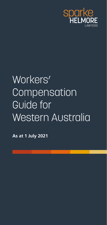

# Workers' **Compensation** Guide for Western Australia

**As at 1 July 2021**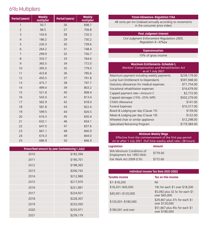### **6% Multipliers**

| <b>Period (years)</b> | <b>Weekly</b><br>multiplier | <b>Period (years)</b> | <b>Weekly</b><br>multiplier |
|-----------------------|-----------------------------|-----------------------|-----------------------------|
| 1                     | 50.7                        | 26                    | 698.7                       |
| $\overline{2}$        | 98.5                        | 27                    | 709.8                       |
| 3                     | 143.6                       | 28                    | 720.3                       |
| $\overline{4}$        | 186.2                       | 29                    | 730.2                       |
| 5                     | 226.3                       | 30                    | 739.6                       |
| 6                     | 264.2                       | 31                    | 748.4                       |
| $\overline{7}$        | 299.9                       | 32                    | 756.7                       |
| 8                     | 333.7                       | 33                    | 764.6                       |
| 9                     | 365.5                       | 34                    | 772.0                       |
| 10                    | 395.5                       | 35                    | 779.0                       |
| 11                    | 423.8                       | 36                    | 785.6                       |
| 12                    | 450.5                       | 37                    | 791.8                       |
| 13                    | 475.7                       | 38                    | 797.7                       |
| 14                    | 499.4                       | 39                    | 803.2                       |
| 15                    | 521.8                       | 40                    | 808.4                       |
| 16                    | 543.0                       | 41                    | 813.4                       |
| 17                    | 562.9                       | 42                    | 818.0                       |
| 18                    | 581.8                       | 43                    | 822.4                       |
| 19                    | 599.5                       | 44                    | 826.5                       |
| 20                    | 616.3                       | 45                    | 830.4                       |
| 21                    | 632.1                       | 46                    | 834.1                       |
| 22                    | 647.0                       | 47                    | 837.6                       |
| 23                    | 661.1                       | 48                    | 840.9                       |
| 24                    | 674.3                       | 49                    | 844.0                       |
| 25                    | 686.9                       | 50                    | 846.9                       |

| Prescribed amount by year (commencing 1 July) |           |  |  |
|-----------------------------------------------|-----------|--|--|
| 2010                                          | \$183,394 |  |  |
| 2011                                          | \$190,701 |  |  |
| 2012                                          | \$198,365 |  |  |
| 2013                                          | \$206,742 |  |  |
| 2014                                          | \$212,980 |  |  |
| 2015                                          | \$217,970 |  |  |
| 2016                                          | \$221,891 |  |  |
| 2017                                          | \$224,921 |  |  |
| 2018                                          | \$228,307 |  |  |
| 2019                                          | \$232,050 |  |  |
| 2020                                          | \$235,971 |  |  |
| 2021                                          | \$239,179 |  |  |

#### **Travel Allowance—Regulation 17AA**

48 cents per km (indexed annually according to movements in the consumer price index)

#### **Post Judgment Interest**

*Civil Judgment Enforcement Regulations 2005, Regulation* 4—6%pa

#### **Superannuation**

10% of gross income

#### **Maximum Entitlements—Schedule 1,**  *Workers' Compensation and Rehabilitation Act* as at 1 July 2021

| Maximum payment including weekly payments | \$239,179.00 |
|-------------------------------------------|--------------|
| Lump Sum Entitlement to Dependants        | \$597,948.00 |
| Statutory allowances for medical expenses | \$71,754.00  |
| Vocational rehabilitation expenses        | \$16,679.00  |
| Capped payment rate-Amount C              | \$2,772.00   |
| Capped damages (15% -25% WPI)             | \$502,279.00 |
| Child's Allowance                         | \$141.00     |
| <b>Funeral Expenses</b>                   | \$10,317.00  |
| Board & Lodging per day (Clause 15)       | \$159.00     |
| Meals & Lodging per day (Clause 19)       | \$122.00     |
| Wheeled chair or similar appliance        | \$12,298.00  |
| Specialised Retraining Program            | \$179,384.00 |
|                                           |              |

#### **Minimum Weekly Wage** Effective from the commencement of the first pay period on or after 1 July 2021 (full time weekly adult rate—38 hours)

| Legislation                                          | <b>Amount</b> |
|------------------------------------------------------|---------------|
| WA Minimum Conditions of<br>Employment Act 1993 (WA) | \$779.00      |
| Fair Work Act 2009 (Cth)                             | \$772.60      |

| Individual Income Tax Rate 2021-2022 |                                                  |  |  |
|--------------------------------------|--------------------------------------------------|--|--|
| <b>Taxable income</b>                | Tax on this income                               |  |  |
| $$1 - $18,200$                       | Nil                                              |  |  |
| \$18,201-\$45,000                    | 19c for each \$1 over \$18,200                   |  |  |
| \$45,001-\$120,000                   | \$5,092 plus 32.5c for each \$1<br>over \$45,000 |  |  |
| \$120,001-\$180,000                  | \$29,467 plus 37c for each \$1<br>over \$120,000 |  |  |
| \$180,001 and over                   | \$51,667 plus 45c for each \$1<br>over \$180,000 |  |  |